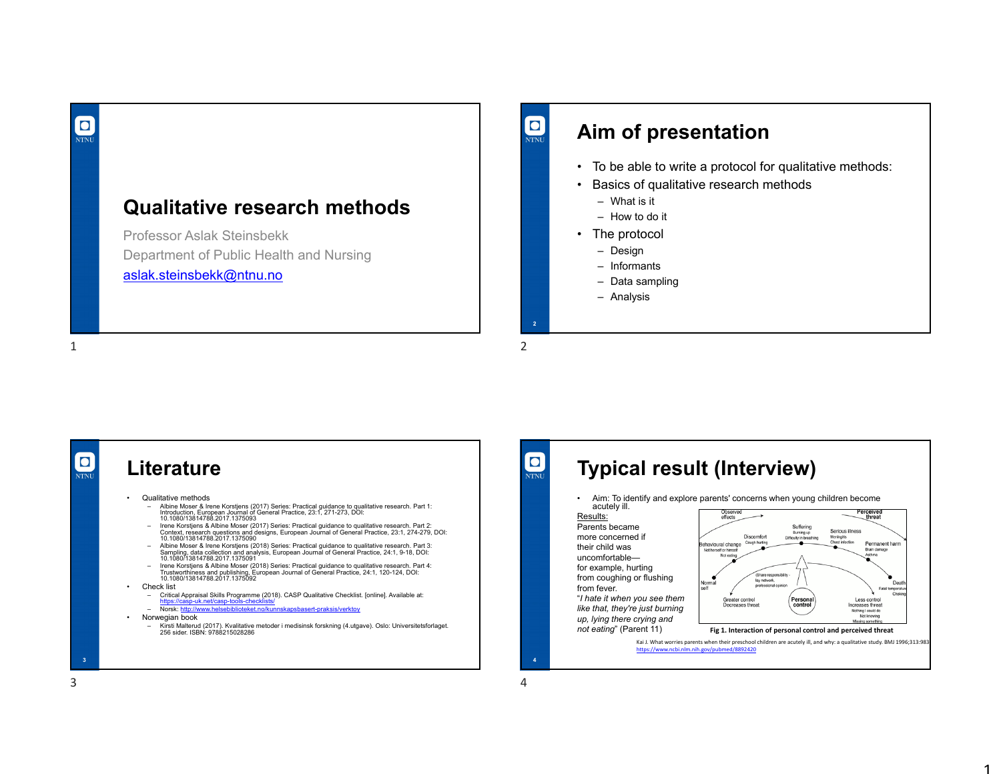

### **Aim of presentation**

• To be able to write a protocol for qualitative methods:

1

- • Basics of qualitative research methods
	- What is it
	- How to do it
- The protocol
	- Design
	- Informants
	- Data sampling
	- Analysis

1



**2**

**O**<br>NTNU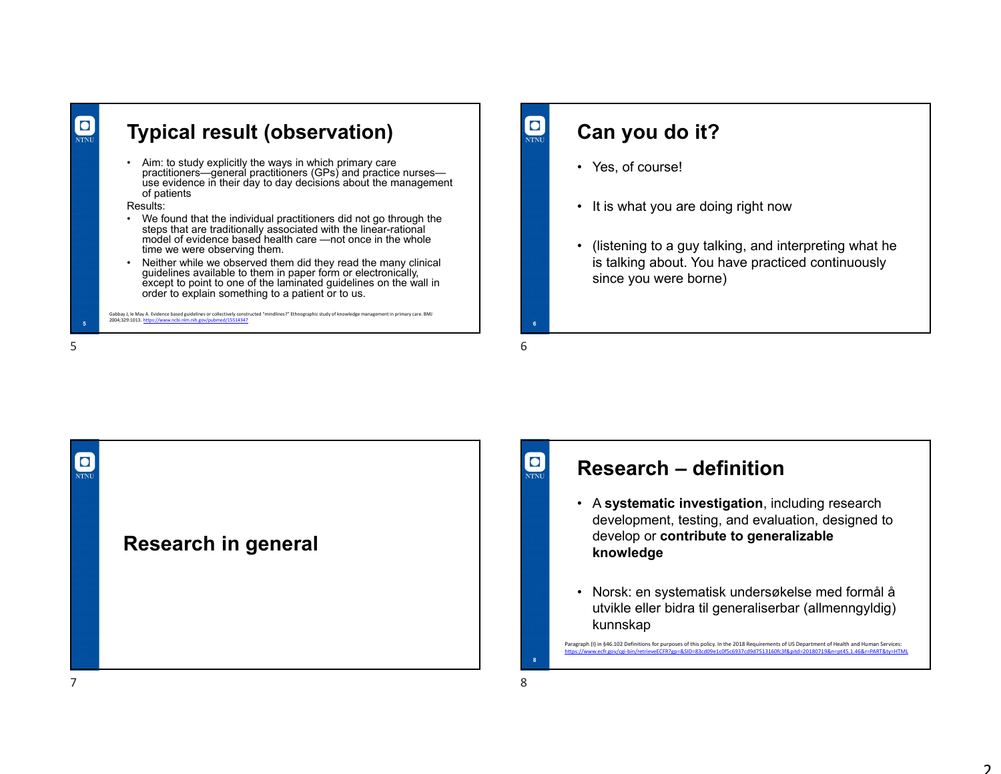|   | <b>Typical result (observation)</b>                                                                                                                                                                                                                                    | C<br>NT |
|---|------------------------------------------------------------------------------------------------------------------------------------------------------------------------------------------------------------------------------------------------------------------------|---------|
|   | Aim: to study explicitly the ways in which primary care<br>practitioners—general practitioners (GPs) and practice nurses—<br>use evidence in their day to day decisions about the management<br>of patients                                                            |         |
|   | Results:                                                                                                                                                                                                                                                               |         |
|   | We found that the individual practitioners did not go through the<br>steps that are traditionally associated with the linear-rational<br>model of evidence based health care —not once in the whole<br>time we were observing them.                                    |         |
|   | Neither while we observed them did they read the many clinical<br>$\bullet$<br>guidelines available to them in paper form or electronically,<br>except to point to one of the laminated guidelines on the wall in<br>order to explain something to a patient or to us. |         |
|   | Gabbay J, le May A. Evidence based guidelines or collectively constructed "mindlines?" Ethnographic study of knowledge management in primary care. BMJ<br>2004:329:1013. https://www.ncbi.nlm.nih.gov/pubmed/15514347                                                  |         |
| 5 |                                                                                                                                                                                                                                                                        | n       |

## **Can you do it?**

- Yes, of course!
- It is what you are doing right now
- (listening to a guy talking, and interpreting what he is talking about. You have practiced continuously since you were borne)

**O**<br>NTNU

**O**<br>NTNU



#### **Research – definition**

- A **systematic investigation**, including research development, testing, and evaluation, designed to develop or **contribute to generalizable knowledge**
- Norsk: en systematisk undersøkelse med formål å utvikle eller bidra til generaliserbar (allmenngyldig) kunnskap

Paragraph (I) in §46.102 Definitions for purposes of this policy. In the 2018 Requirements of US Department of Health and Human Services:<br>https://www.ecfr.gov/cgi-bin/retrieveECFR?gp=&SID=83cd09e1c0f5c6937cd9d7513160fc3f&p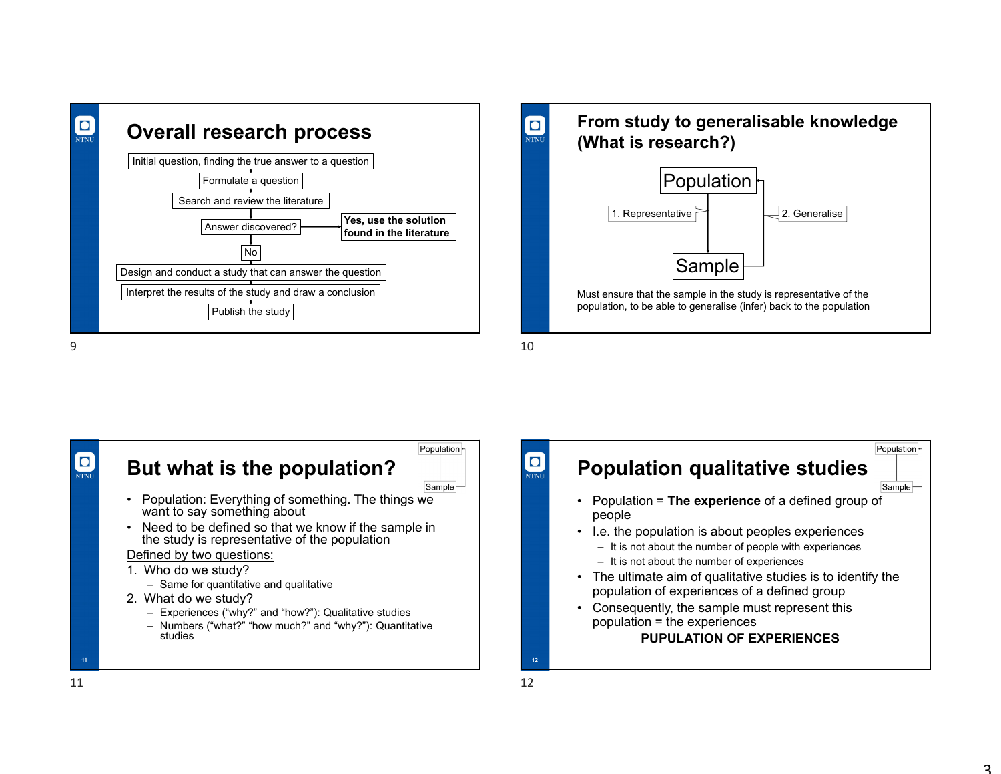



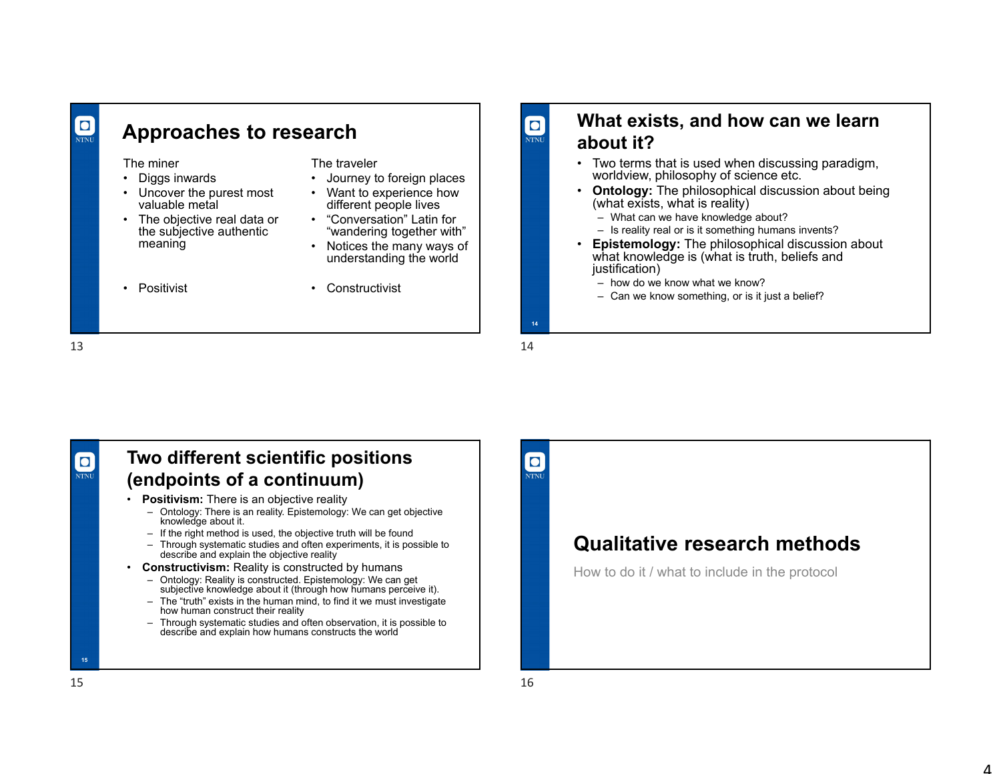# **Approaches to research**

#### The miner

- Diggs inwards
- Uncover the purest most valuable metal
- The objective real data or the subjective authentic meaning

• Positivist

The traveler

- Journey to foreign places
- Want to experience how different people lives
- "Conversation" Latin for "wandering together with"
- Notices the many ways of understanding the world
- Constructivist

#### **What exists, and how can we learn about it?**

- Two terms that is used when discussing paradigm, worldview, philosophy of science etc.
- **Ontology:** The philosophical discussion about being (what exists, what is reality)
	- What can we have knowledge about?
	- Is reality real or is it something humans invents?
- • **Epistemology:** The philosophical discussion about what knowledge is (what is truth, beliefs and justification)
	- how do we know what we know?
	- Can we know something, or is it just a belief?

13 $\frac{14}{14}$ 

 $\blacksquare$ 

 $\overline{\bigcirc}$ 





**14**

**O**<br>NTNU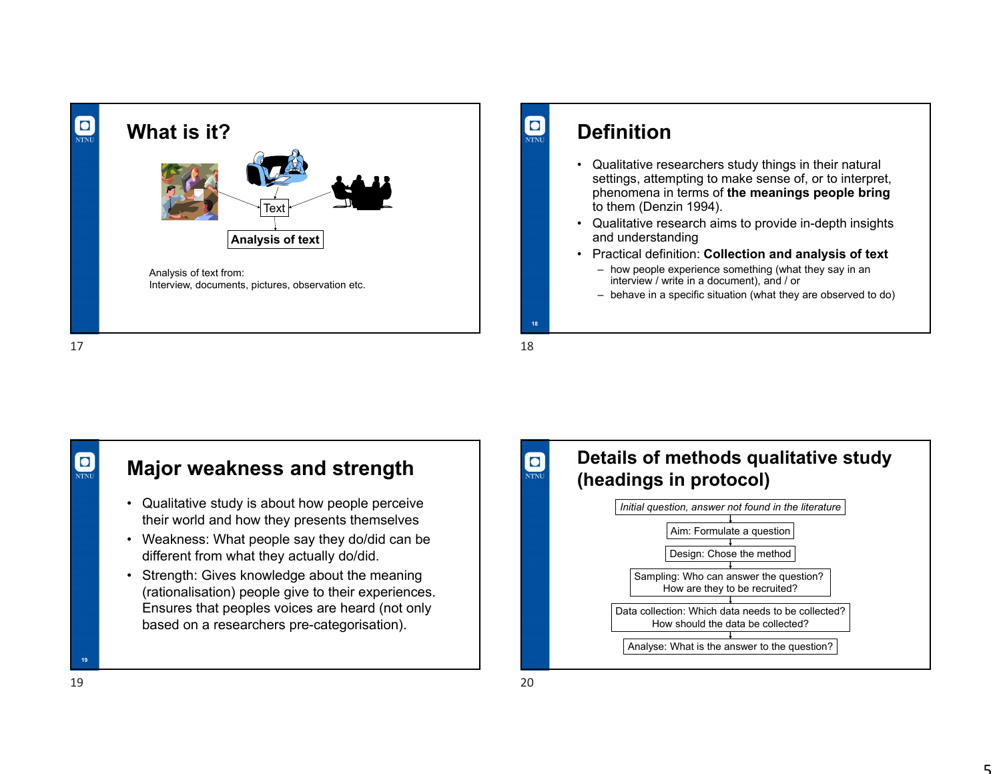

### **Definition**

- Qualitative researchers study things in their natural settings, attempting to make sense of, or to interpret, phenomena in terms of **the meanings people bring**  to them (Denzin 1994).
- Qualitative research aims to provide in-depth insights and understanding
- Practical definition: **Collection and analysis of text**
	- how people experience something (what they say in an interview / write in a document), and / or
	- behave in a specific situation (what they are observed to do)

**18**

 $\overline{\mathbf{O}}$ 



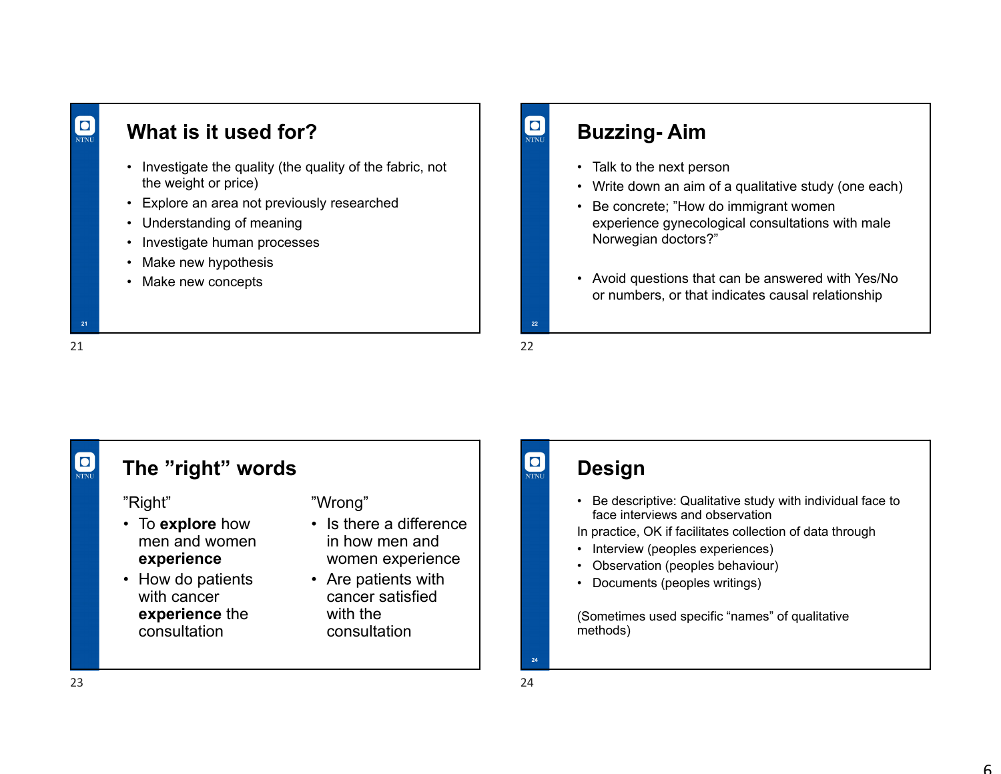#### **O**<br>NTNU **What is it used for?**• Investigate the quality (the quality of the fabric, not the weight or price) • Explore an area not previously researched • Understanding of meaning Investigate human processes • Make new hypothesis •• Make new concepts

21

**21**

# **Buzzing- Aim**

- Talk to the next person
- Write down an aim of a qualitative study (one each)
- • Be concrete; "How do immigrant women experience gynecological consultations with male Norwegian doctors?"
- Avoid questions that can be answered with Yes/No or numbers, or that indicates causal relationship

 $1 \hspace{2.5cm}$ 

**22**

**O**<br>NTNU

 $\overline{\overline{\mathbf{O}}}$ 

#### $\boxed{\bullet}$ **The "right" words** "Right" "Wrong" • To **explore** how • Is there a difference men and women in how men and **experience** women experience • How do patients • Are patients with with cancer cancer satisfied with the **experience** the consultationconsultation

## **Design**

- Be descriptive: Qualitative study with individual face to face interviews and observation
- In practice, OK if facilitates collection of data through
- Interview (peoples experiences)
- •Observation (peoples behaviour)
- •Documents (peoples writings)

(Sometimes used specific "names" of qualitative methods)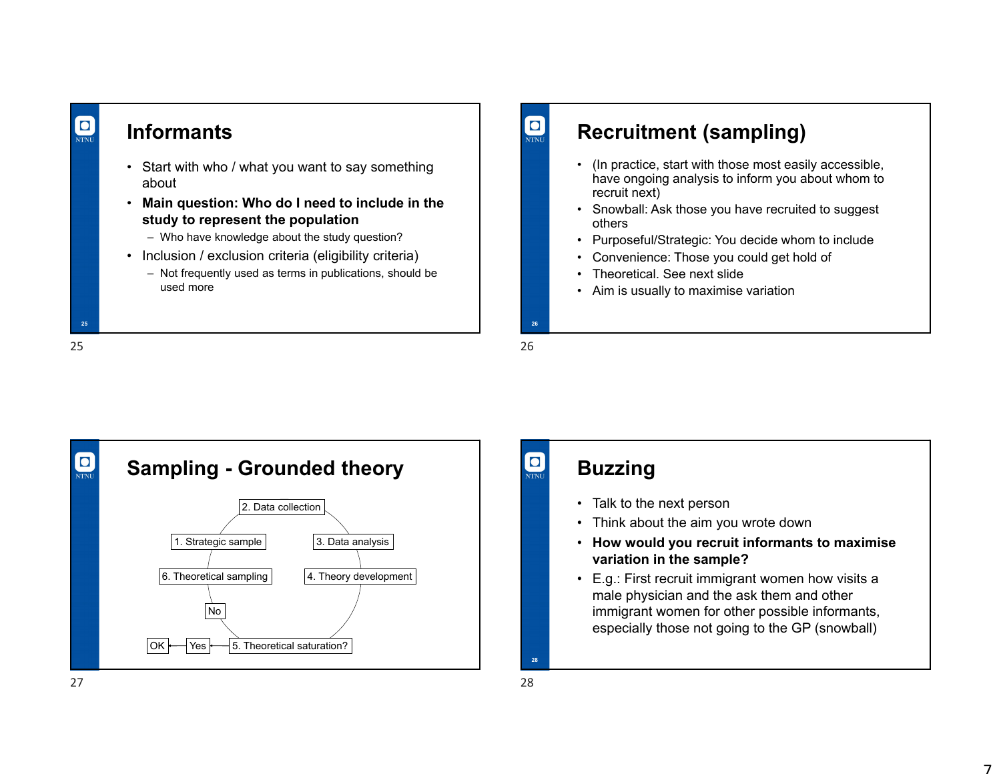### **Informants**

- Start with who / what you want to say something about
- • **Main question: Who do I need to include in the study to represent the population** 
	- Who have knowledge about the study question?
- Inclusion / exclusion criteria (eligibility criteria)
	- Not frequently used as terms in publications, should be used more

#### 25

**25**

**O**<br>NTNU



## **Recruitment (sampling)**

- (In practice, start with those most easily accessible, have ongoing analysis to inform you about whom to recruit next)
- Snowball: Ask those you have recruited to suggest others
- •Purposeful/Strategic: You decide whom to include
- •Convenience: Those you could get hold of
- •Theoretical. See next slide
- Aim is usually to maximise variation

 $\sim$  26

**26**

 $\begin{array}{c} \hline \ \hline \ \hline \ \hline \ \hline \text{NTNU} \end{array}$ 

**O**<br>NTNU

### **Buzzing**

- Talk to the next person
- •Think about the aim you wrote down
- **How would you recruit informants to maximise variation in the sample?**
- E.g.: First recruit immigrant women how visits a male physician and the ask them and other immigrant women for other possible informants, especially those not going to the GP (snowball)

z do 28 de enero de 1980 e 1980 e 1980 e 1980 e 1980 e 1980 e 1980 e 1980 e 1980 e 1980 e 1980 e 1980 e 1980 e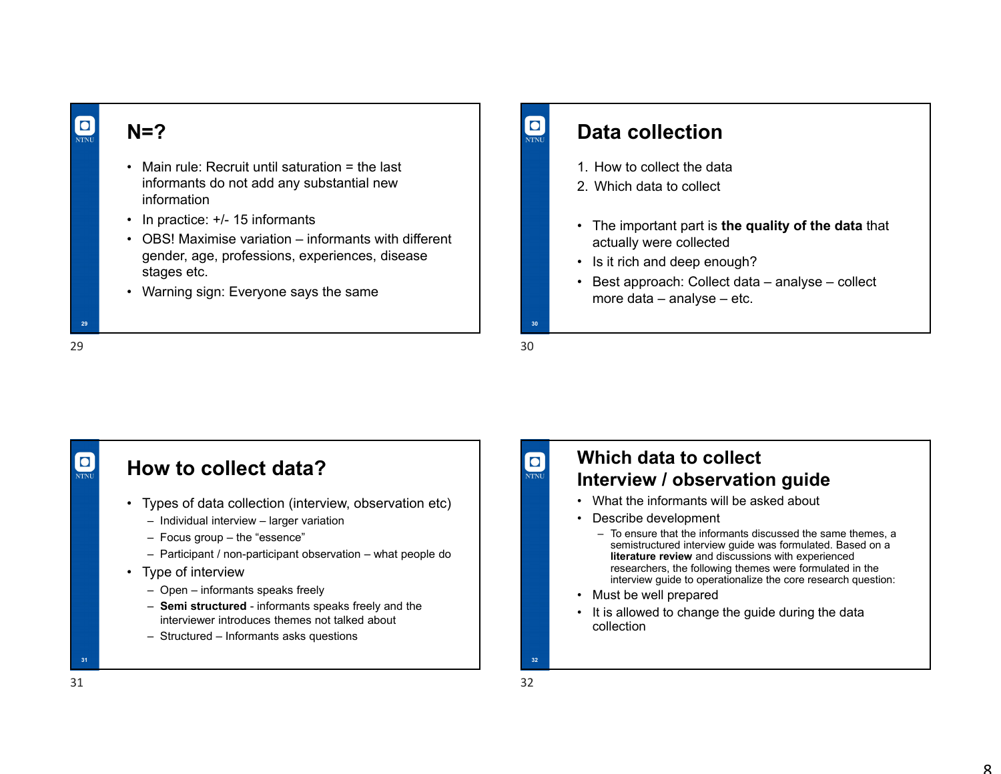# **N=?**

- Main rule: Recruit until saturation = the last informants do not add any substantial new information
- In practice: +/- 15 informants
- OBS! Maximise variation informants with different gender, age, professions, experiences, disease stages etc.
- Warning sign: Everyone says the same

#### 29

**29**

O NTNU

# **Data collection**

- 1. How to collect the data
- 2. Which data to collect
- The important part is **the quality of the data** that actually were collected
- Is it rich and deep enough?
- Best approach: Collect data analyse collect more data – analyse – etc.

 $30$ 

**30**

**O**<br>NTNU

#### $\boxed{\bullet}$ **How to collect data?**• Types of data collection (interview, observation etc) – Individual interview – larger variation – Focus group – the "essence" – Participant / non-participant observation – what people do • Type of interview – Open – informants speaks freely – **Semi structured** - informants speaks freely and the interviewer introduces themes not talked about– Structured – Informants asks questions **31**

**O**<br>NTNU

#### **Which data to collectInterview / observation guide**

- What the informants will be asked about
- Describe development
	- To ensure that the informants discussed the same themes, a semistructured interview guide was formulated. Based on a **literature review** and discussions with experienced researchers, the following themes were formulated in the interview guide to operationalize the core research question:
- Must be well prepared
- It is allowed to change the guide during the data collection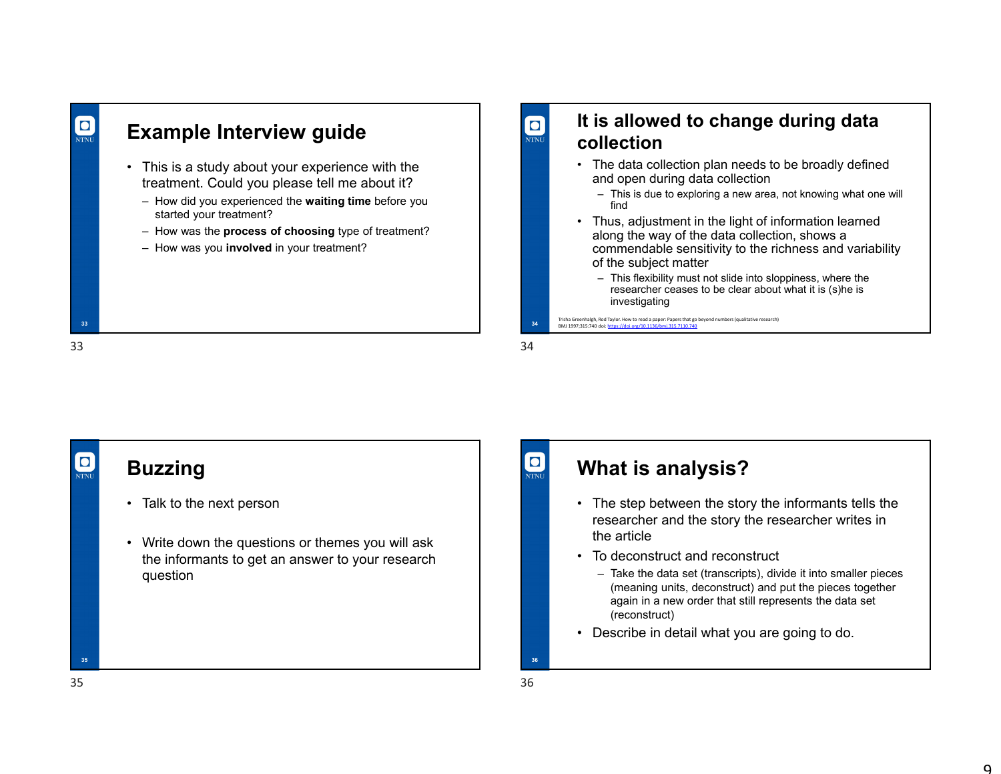

#### **It is allowed to change during data collection**

- The data collection plan needs to be broadly defined and open during data collection
	- This is due to exploring a new area, not knowing what one will find
- Thus, adjustment in the light of information learned along the way of the data collection, shows a commendable sensitivity to the richness and variability of the subject matter
	- This flexibility must not slide into sloppiness, where the researcher ceases to be clear about what it is (s)he is investigating

Trisha Greenhalgh, Rod Taylor. How to read a paper: Papers that go beyond numbers (qualitative research)<br>BMJ 1997;315:740 doi: https://doi.org/10.1136/bmj.315.7110.740

 $34$ 

**34**

**O**<br>NTNU

**O**<br>NTNU

# **Buzzing**

- Talk to the next person
- Write down the questions or themes you will ask the informants to get an answer to your research question

### **What is analysis?**

- The step between the story the informants tells the researcher and the story the researcher writes in the article
- To deconstruct and reconstruct
	- Take the data set (transcripts), divide it into smaller pieces (meaning units, deconstruct) and put the pieces together again in a new order that still represents the data set (reconstruct)
- Describe in detail what you are going to do.

**36**

33

 $\boxed{\bullet}$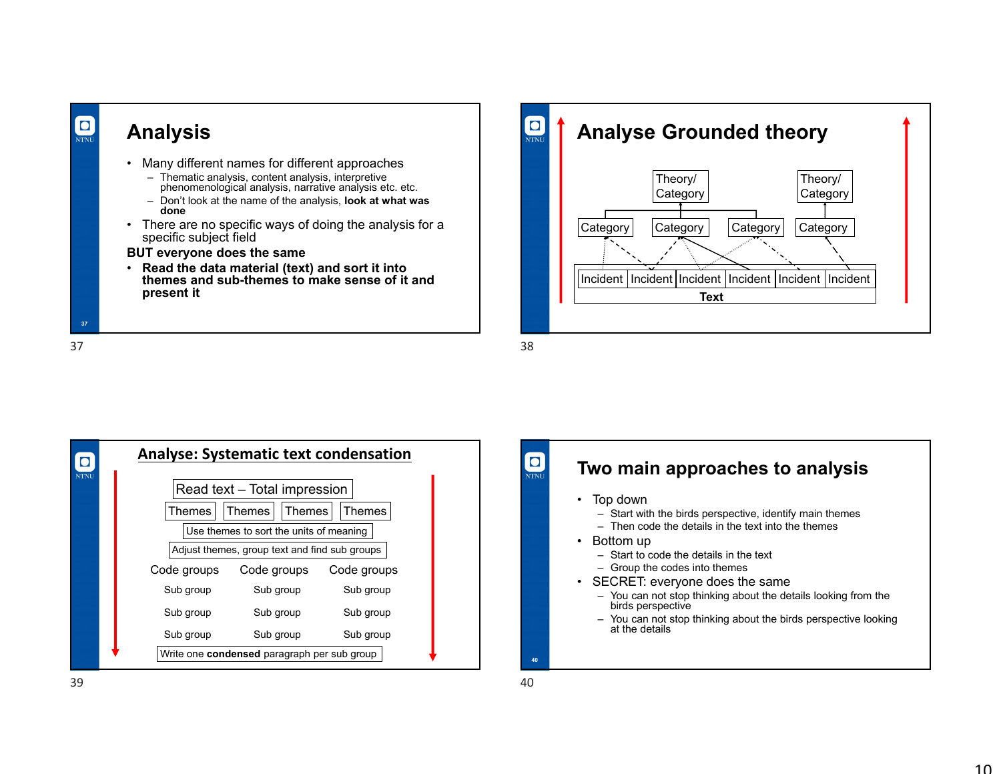